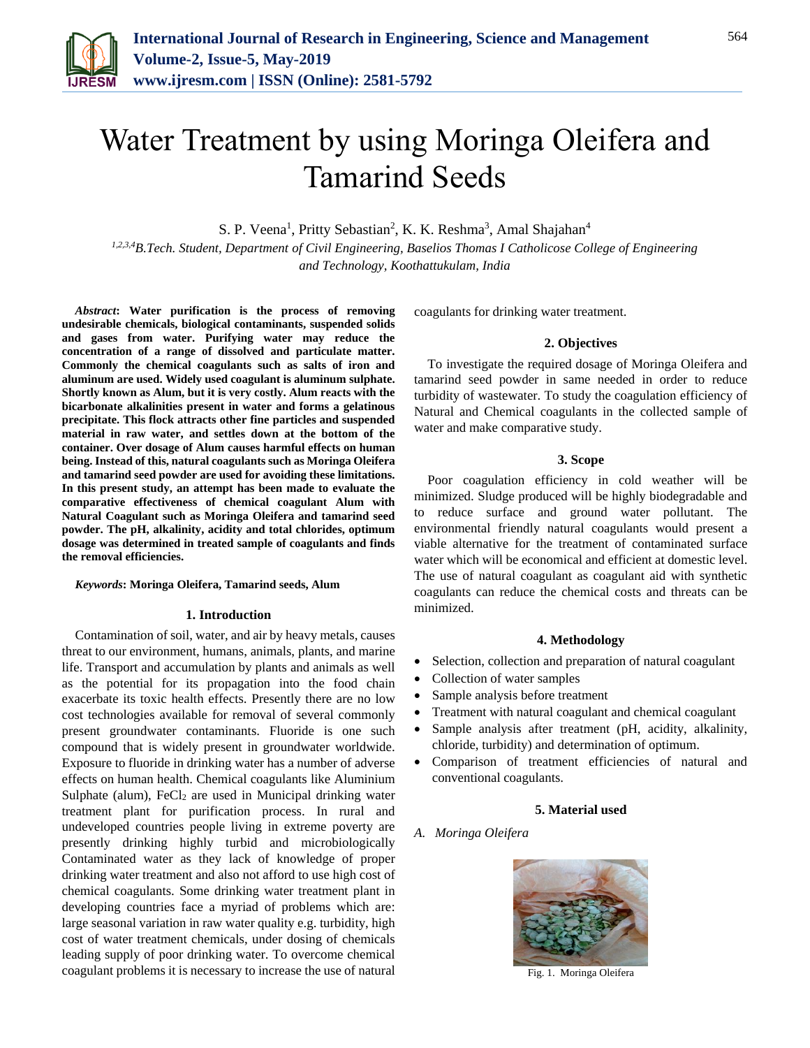

# Water Treatment by using Moringa Oleifera and Tamarind Seeds

S. P. Veena<sup>1</sup>, Pritty Sebastian<sup>2</sup>, K. K. Reshma<sup>3</sup>, Amal Shajahan<sup>4</sup>

*1,2,3,4B.Tech. Student, Department of Civil Engineering, Baselios Thomas I Catholicose College of Engineering and Technology, Koothattukulam, India*

*Abstract***: Water purification is the process of removing undesirable chemicals, biological contaminants, suspended solids and gases from water. Purifying water may reduce the concentration of a range of dissolved and particulate matter. Commonly the chemical coagulants such as salts of iron and aluminum are used. Widely used coagulant is aluminum sulphate. Shortly known as Alum, but it is very costly. Alum reacts with the bicarbonate alkalinities present in water and forms a gelatinous precipitate. This flock attracts other fine particles and suspended material in raw water, and settles down at the bottom of the container. Over dosage of Alum causes harmful effects on human being. Instead of this, natural coagulants such as Moringa Oleifera and tamarind seed powder are used for avoiding these limitations. In this present study, an attempt has been made to evaluate the comparative effectiveness of chemical coagulant Alum with Natural Coagulant such as Moringa Oleifera and tamarind seed powder. The pH, alkalinity, acidity and total chlorides, optimum dosage was determined in treated sample of coagulants and finds the removal efficiencies.**

## *Keywords***: Moringa Oleifera, Tamarind seeds, Alum**

#### **1. Introduction**

Contamination of soil, water, and air by heavy metals, causes threat to our environment, humans, animals, plants, and marine life. Transport and accumulation by plants and animals as well as the potential for its propagation into the food chain exacerbate its toxic health effects. Presently there are no low cost technologies available for removal of several commonly present groundwater contaminants. Fluoride is one such compound that is widely present in groundwater worldwide. Exposure to fluoride in drinking water has a number of adverse effects on human health. Chemical coagulants like Aluminium Sulphate (alum),  $FeCl<sub>2</sub>$  are used in Municipal drinking water treatment plant for purification process. In rural and undeveloped countries people living in extreme poverty are presently drinking highly turbid and microbiologically Contaminated water as they lack of knowledge of proper drinking water treatment and also not afford to use high cost of chemical coagulants. Some drinking water treatment plant in developing countries face a myriad of problems which are: large seasonal variation in raw water quality e.g. turbidity, high cost of water treatment chemicals, under dosing of chemicals leading supply of poor drinking water. To overcome chemical coagulant problems it is necessary to increase the use of natural coagulants for drinking water treatment.

#### **2. Objectives**

To investigate the required dosage of Moringa Oleifera and tamarind seed powder in same needed in order to reduce turbidity of wastewater. To study the coagulation efficiency of Natural and Chemical coagulants in the collected sample of water and make comparative study.

# **3. Scope**

Poor coagulation efficiency in cold weather will be minimized. Sludge produced will be highly biodegradable and to reduce surface and ground water pollutant. The environmental friendly natural coagulants would present a viable alternative for the treatment of contaminated surface water which will be economical and efficient at domestic level. The use of natural coagulant as coagulant aid with synthetic coagulants can reduce the chemical costs and threats can be minimized.

#### **4. Methodology**

- Selection, collection and preparation of natural coagulant
- Collection of water samples
- Sample analysis before treatment
- Treatment with natural coagulant and chemical coagulant
- Sample analysis after treatment (pH, acidity, alkalinity, chloride, turbidity) and determination of optimum.
- Comparison of treatment efficiencies of natural and conventional coagulants.

# **5. Material used**

# *A. Moringa Oleifera*



Fig. 1. Moringa Oleifera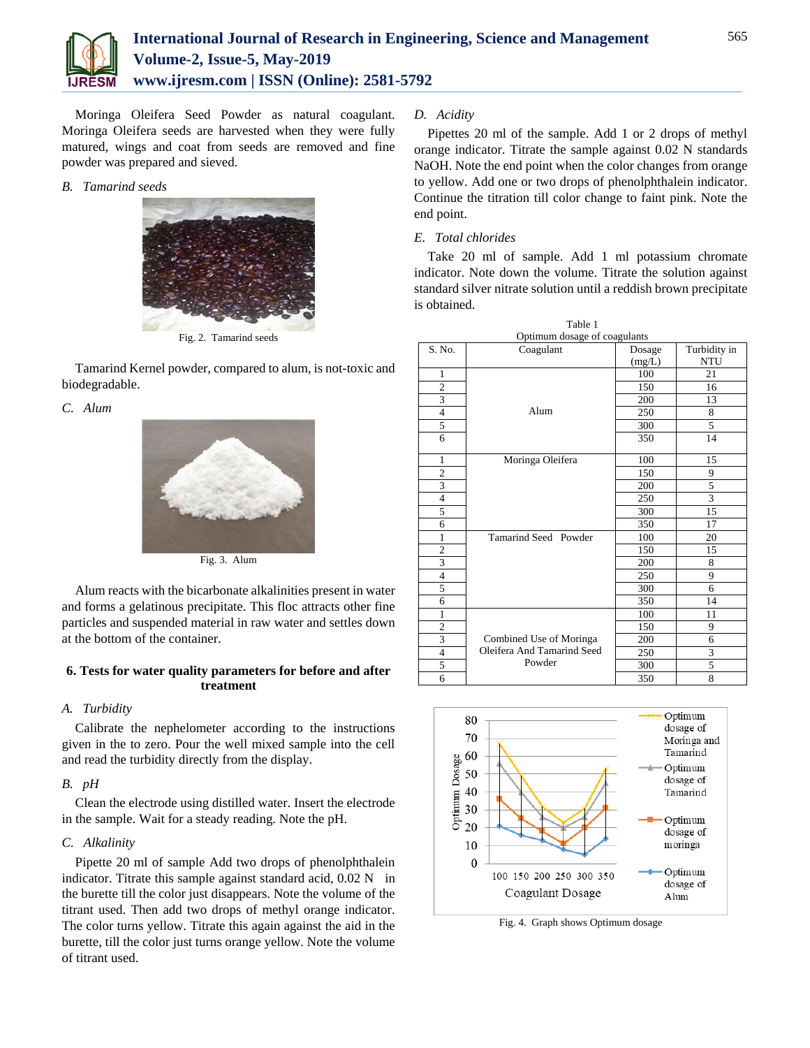

Moringa Oleifera Seed Powder as natural coagulant. Moringa Oleifera seeds are harvested when they were fully matured, wings and coat from seeds are removed and fine powder was prepared and sieved.

## *B. Tamarind seeds*



Fig. 2. Tamarind seeds

Tamarind Kernel powder, compared to alum, is not-toxic and biodegradable.

# *C. Alum*



Fig. 3. Alum

Alum reacts with the bicarbonate alkalinities present in water and forms a gelatinous precipitate. This floc attracts other fine particles and suspended material in raw water and settles down at the bottom of the container.

# **6. Tests for water quality parameters for before and after treatment**

# *A. Turbidity*

Calibrate the nephelometer according to the instructions given in the to zero. Pour the well mixed sample into the cell and read the turbidity directly from the display.

# *B. pH*

Clean the electrode using distilled water. Insert the electrode in the sample. Wait for a steady reading. Note the pH.

# *C. Alkalinity*

Pipette 20 ml of sample Add two drops of phenolphthalein indicator. Titrate this sample against standard acid, 0.02 N in the burette till the color just disappears. Note the volume of the titrant used. Then add two drops of methyl orange indicator. The color turns yellow. Titrate this again against the aid in the burette, till the color just turns orange yellow. Note the volume of titrant used.

## *D. Acidity*

Pipettes 20 ml of the sample. Add 1 or 2 drops of methyl orange indicator. Titrate the sample against 0.02 N standards NaOH. Note the end point when the color changes from orange to yellow. Add one or two drops of phenolphthalein indicator. Continue the titration till color change to faint pink. Note the end point.

# *E. Total chlorides*

Take 20 ml of sample. Add 1 ml potassium chromate indicator. Note down the volume. Titrate the solution against standard silver nitrate solution until a reddish brown precipitate is obtained.

| Table 1                      |                            |        |              |
|------------------------------|----------------------------|--------|--------------|
| Optimum dosage of coagulants |                            |        |              |
| S. No.                       | Coagulant                  | Dosage | Turbidity in |
|                              |                            | (mg/L) | <b>NTU</b>   |
| 1                            |                            | 100    | 21           |
| $\overline{c}$               |                            | 150    | 16           |
| 3                            |                            | 200    | 13           |
| $\overline{4}$               | Alum                       | 250    | 8            |
| 5                            |                            | 300    | 5            |
| 6                            |                            | 350    | 14           |
| 1                            | Moringa Oleifera           | 100    | 15           |
| $\overline{c}$               |                            | 150    | 9            |
| 3                            |                            | 200    | 5            |
| $\overline{4}$               |                            | 250    | 3            |
| 5                            |                            | 300    | 15           |
| 6                            |                            | 350    | 17           |
| 1                            | Tamarind Seed Powder       | 100    | 20           |
| $\overline{2}$               |                            | 150    | 15           |
| 3                            |                            | 200    | 8            |
| $\overline{4}$               |                            | 250    | 9            |
| 5                            |                            | 300    | 6            |
| 6                            |                            | 350    | 14           |
| 1                            |                            | 100    | 11           |
| $\mathbf{2}$                 |                            | 150    | 9            |
| 3                            | Combined Use of Moringa    | 200    | 6            |
| $\overline{4}$               | Oleifera And Tamarind Seed | 250    | 3            |
| 5                            | Powder                     | 300    | 5            |
| 6                            |                            | 350    | 8            |



Fig. 4. Graph shows Optimum dosage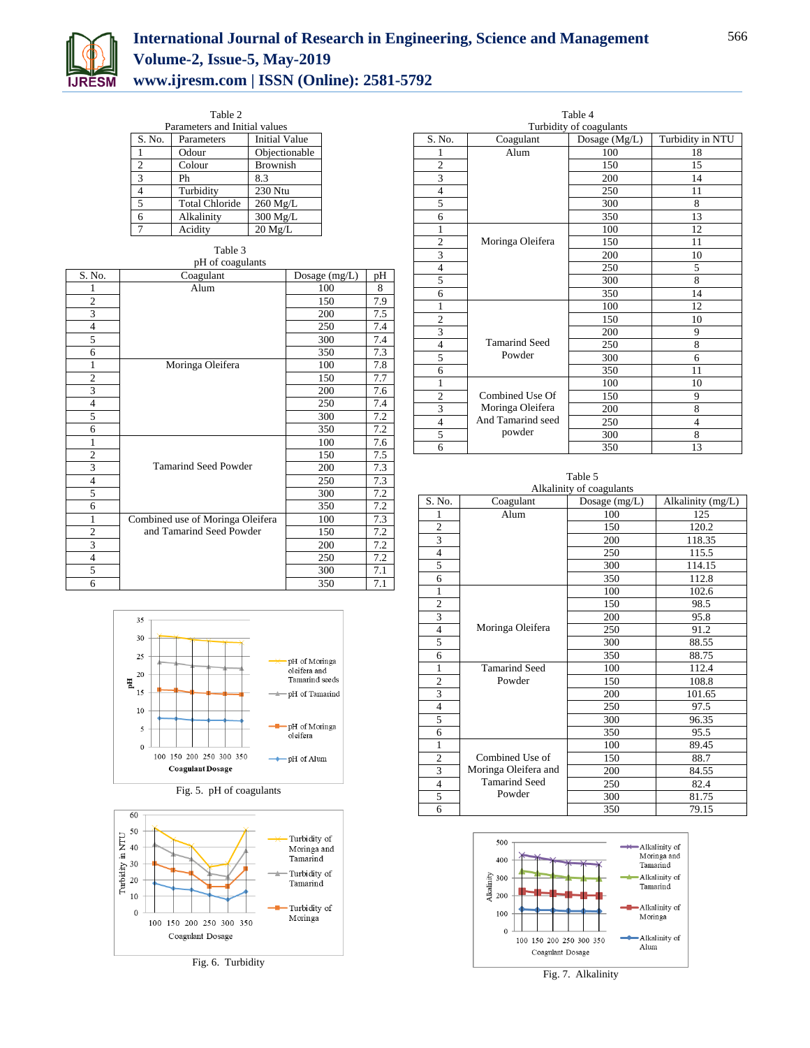

# **International Journal of Research in Engineering, Science and Management Volume-2, Issue-5, May-2019 www.ijresm.com | ISSN (Online): 2581-5792**

Table 2

| Parameters and Initial values |                       |                      |  |
|-------------------------------|-----------------------|----------------------|--|
| S. No.                        | Parameters            | <b>Initial Value</b> |  |
|                               | Odour                 | Objectionable        |  |
| $\overline{c}$                | Colour                | <b>Brownish</b>      |  |
| 3                             | Ph                    | 8.3                  |  |
| 4                             | Turbidity             | 230 Ntu              |  |
| 5                             | <b>Total Chloride</b> | $260$ Mg/L           |  |
| 6                             | Alkalinity            | 300 Mg/L             |  |
| 7                             | Acidity               | $20$ Mg/L            |  |

Table 3

| pH of coagulants        |                                  |               |     |
|-------------------------|----------------------------------|---------------|-----|
| S. No.                  | Coagulant                        | Dosage (mg/L) | pН  |
|                         | Alum                             | 100           | 8   |
| $\overline{c}$          |                                  | 150           | 7.9 |
| 3                       |                                  | 200           | 7.5 |
| $\overline{4}$          |                                  | 250           | 7.4 |
| 5                       |                                  | 300           | 7.4 |
| 6                       |                                  | 350           | 7.3 |
| 1                       | Moringa Oleifera                 | 100           | 7.8 |
| $\overline{2}$          |                                  | 150           | 7.7 |
| 3                       |                                  | 200           | 7.6 |
| $\overline{4}$          |                                  | 250           | 7.4 |
| 5                       |                                  | 300           | 7.2 |
| 6                       |                                  | 350           | 7.2 |
| $\mathbf{1}$            |                                  | 100           | 7.6 |
| $\overline{c}$          |                                  | 150           | 7.5 |
| 3                       | <b>Tamarind Seed Powder</b>      | 200           | 7.3 |
| $\overline{4}$          |                                  | 250           | 7.3 |
| 5                       |                                  | 300           | 7.2 |
| 6                       |                                  | 350           | 7.2 |
| $\mathbf{1}$            | Combined use of Moringa Oleifera | 100           | 7.3 |
| $\overline{\mathbf{c}}$ | and Tamarind Seed Powder         | 150           | 7.2 |
| $\overline{\mathbf{3}}$ |                                  | 200           | 7.2 |
| $\overline{4}$          |                                  | 250           | 7.2 |
| 5                       |                                  | 300           | 7.1 |
| 6                       |                                  | 350           | 7.1 |

| 35       |                         |                               |
|----------|-------------------------|-------------------------------|
| 30       |                         |                               |
| 25<br>20 |                         | pH of Moringa<br>oleifera and |
| 필        |                         | Tamarind seeds                |
| 15       |                         | <del>≐</del> pH of Tamarind   |
| 10       |                         |                               |
| 5        |                         | -pH of Moringa<br>oleifera    |
| $\Omega$ |                         |                               |
|          | 100 150 200 250 300 350 | pH of Alum                    |
|          | <b>Coagulant Dosage</b> |                               |





Fig. 6. Turbidity

| Table 4                 |                   |                                          |                  |
|-------------------------|-------------------|------------------------------------------|------------------|
| S. No.                  | Coagulant         | Turbidity of coagulants<br>Dosage (Mg/L) | Turbidity in NTU |
| 1                       | Alum              | 100                                      | 18               |
| $\overline{2}$          |                   |                                          | 15               |
|                         |                   | 150                                      |                  |
| 3                       |                   | 200                                      | 14               |
| $\overline{4}$          |                   | 250                                      | 11               |
| 5                       |                   | 300                                      | 8                |
| 6                       |                   | 350                                      | 13               |
| 1                       |                   | 100                                      | 12               |
| $\overline{c}$          | Moringa Oleifera  | 150                                      | 11               |
| 3                       |                   | 200                                      | 10               |
| $\overline{4}$          |                   | 250                                      | 5                |
| 5                       |                   | 300                                      | 8                |
| 6                       |                   | 350                                      | 14               |
| 1                       |                   | 100                                      | 12               |
| $\overline{c}$          |                   | 150                                      | 10               |
| $\overline{\mathbf{3}}$ |                   | 200                                      | 9                |
| $\overline{4}$          | Tamarind Seed     | 250                                      | 8                |
| 5                       | Powder            | 300                                      | 6                |
| 6                       |                   | 350                                      | 11               |
| 1                       |                   | 100                                      | 10               |
| $\overline{2}$          | Combined Use Of   | 150                                      | 9                |
| 3                       | Moringa Oleifera  | 200                                      | 8                |
| $\overline{4}$          | And Tamarind seed | 250                                      | $\overline{4}$   |
| 5                       | powder            | 300                                      | 8                |
| 6                       |                   | 350                                      | 13               |

Table 5

| Alkalinity of coagulants |                      |               |                   |
|--------------------------|----------------------|---------------|-------------------|
| S. No.                   | Coagulant            | Dosage (mg/L) | Alkalinity (mg/L) |
| 1                        | Alum                 | 100           | 125               |
| $\overline{c}$           |                      | 150           | 120.2             |
| $\overline{3}$           |                      | 200           | 118.35            |
| $\overline{4}$           |                      | 250           | 115.5             |
| 5                        |                      | 300           | 114.15            |
| 6                        |                      | 350           | 112.8             |
| $\mathbf{1}$             |                      | 100           | 102.6             |
| $\overline{c}$           |                      | 150           | 98.5              |
| 3                        |                      | 200           | 95.8              |
| 4                        | Moringa Oleifera     | 250           | 91.2              |
| 5                        |                      | 300           | 88.55             |
| 6                        |                      | 350           | 88.75             |
| $\mathbf{1}$             | <b>Tamarind Seed</b> | 100           | 112.4             |
| $\overline{c}$           | Powder               | 150           | 108.8             |
| 3                        |                      | 200           | 101.65            |
| $\overline{4}$           |                      | 250           | 97.5              |
| 5                        |                      | 300           | 96.35             |
| 6                        |                      | 350           | 95.5              |
| $\mathbf{1}$             |                      | 100           | 89.45             |
| $\overline{2}$           | Combined Use of      | 150           | 88.7              |
| 3                        | Moringa Oleifera and | 200           | 84.55             |
| $\overline{4}$           | <b>Tamarind Seed</b> | 250           | 82.4              |
| 5                        | Powder               | 300           | 81.75             |
| 6                        |                      | 350           | 79.15             |